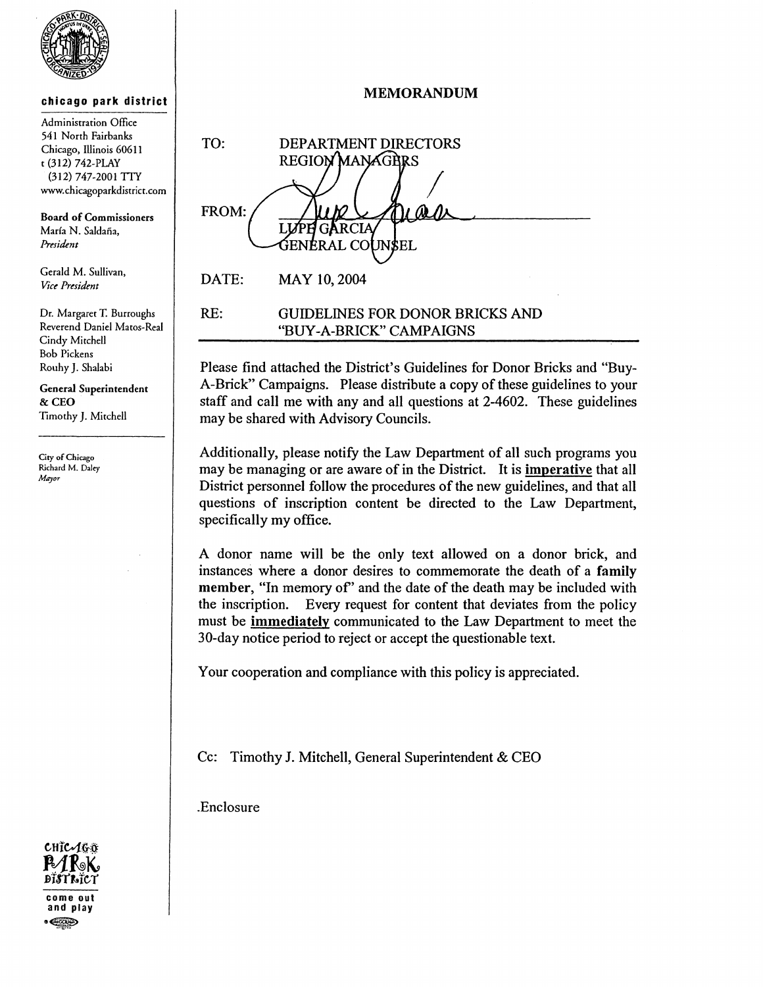

## chicago park district

Administration Office 541 North Fairbanks Chicago, Illinois 60611 t (312) 742-PLAY (312) 747-2001 TIT www.chicagoparkdistrict.com

Board of Commissioners María N. Saldaña. *Pmident* 

Gerald M. Sullivan, *Viet' Pmidmt* 

Dr. Margaret T. Burroughs Reverend Daniel Matos-Real Cindy Mitchell Bob Pickens Rouhy J. Shalabi

General Superintendent & CEO Timothy J. Mitchell

City of Chicago Richard M. Daley *Mayor* 

MEMORANDUM

TO: DEPARTMENT DIRECTORS REGION MANAGRES FROM: ÁRCIA GENERAL CO JN\$EL DATE: MAY 10,2004

RE: GUIDELINES FOR DONOR BRICKS AND "BUY -A-BRICK" CAMPAIGNS

Please find attached the District's Guidelines for Donor Bricks and "Buy-A-Brick" Campaigns. Please distribute a copy of these guidelines to your staff and call me with any and all questions at 2-4602. These guidelines may be shared with Advisory Councils.

Additionally, please notify the Law Department of all such programs you may be managing or are aware of in the District. It is imperative that all District personnel follow the procedures of the new guidelines, and that all questions of inscription content be directed to the Law Department, specifically my office.

A donor name will be the only text allowed on a donor brick, and instances where a donor desires to commemorate the death of a family member, "In memory of" and the date of the death may be included with the inscription. Every request for content that deviates from the policy must be immediately communicated to the Law Department to meet the 30-day notice period to reject or accept the questionable text.

Your cooperation and compliance with this policy is appreciated.

Cc: Timothy J. Mitchell, General Superintendent & CEO

.Enclosure

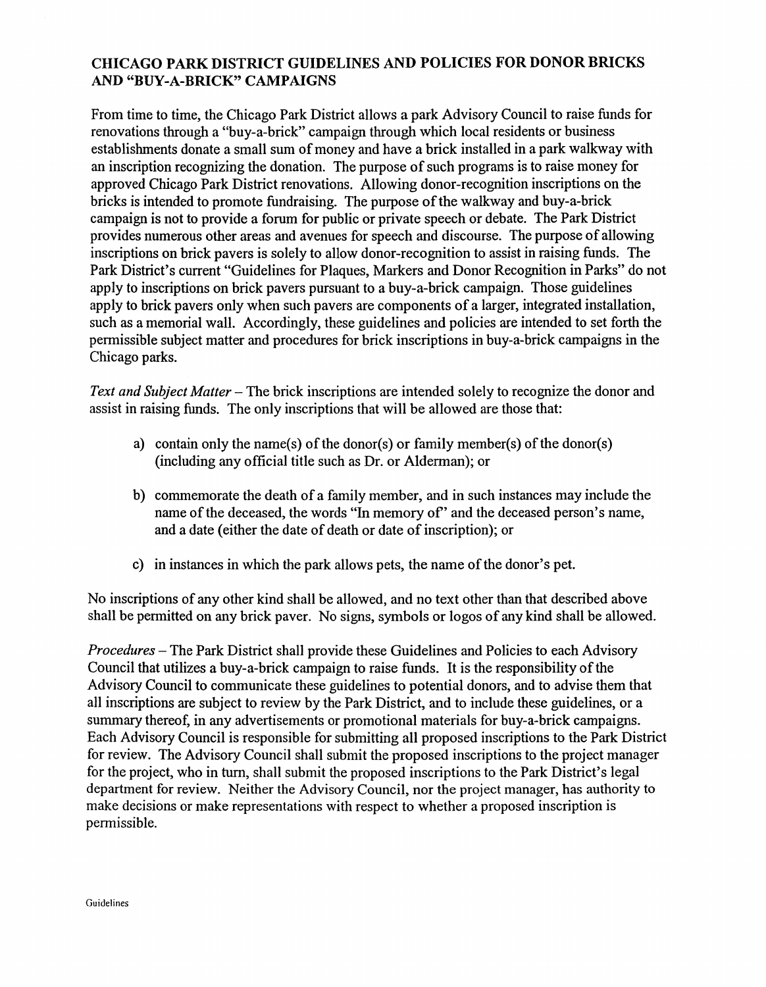## CHICAGO PARK DISTRICT GUIDELINES AND POLICIES FOR DONOR BRICKS AND "BUY-A-BRICK" CAMPAIGNS

From time to time, the Chicago Park District allows a park Advisory Council to raise funds for renovations through a "buy-a-brick" campaign through which local residents or business establishments donate a small sum of money and have a brick installed in a park walkway with an inscription recognizing the donation. The purpose of such programs is to raise money for approved Chicago Park District renovations. Allowing donor-recognition inscriptions on the bricks is intended to promote fundraising. The purpose of the walkway and buy-a-brick campaign is not to provide a forum for public or private speech or debate. The Park District provides numerous other areas and avenues for speech and discourse. The purpose of allowing inscriptions on brick pavers is solely to allow donor-recognition to assist in raising funds. The Park District's current "Guidelines for Plaques, Markers and Donor Recognition in Parks" do not apply to inscriptions on brick pavers pursuant to a buy-a-brick campaign. Those guidelines apply to brick pavers only when such pavers are components of a larger, integrated installation, such as a memorial wall. Accordingly, these guidelines and policies are intended to set forth the permissible subject matter and procedures for brick inscriptions in buy-a-brick campaigns in the Chicago parks.

*Text and Subject Matter* – The brick inscriptions are intended solely to recognize the donor and assist in raising funds. The only inscriptions that will be allowed are those that:

- a) contain only the name(s) of the donor(s) or family member(s) of the donor(s) (including any official title such as Dr. or Alderman); or
- b) commemorate the death of a family member, and in such instances may include the name of the deceased, the words "In memory of" and the deceased person's name, and a date (either the date of death or date of inscription); or
- c) in instances in which the park allows pets, the name of the donor's pet.

No inscriptions of any other kind shall be allowed, and no text other than that described above shall be permitted on any brick paver. No signs, symbols or logos of any kind shall be allowed.

*Procedures* - The Park District shall provide these Guidelines and Policies to each Advisory Council that utilizes a buy-a-brick campaign to raise funds. It is the responsibility of the Advisory Council to communicate these guidelines to potential donors, and to advise them that all inscriptions are subject to review by the Park District, and to include these guidelines, or a summary thereof, in any advertisements or promotional materials for buy-a-brick campaigns. Each Advisory Council is responsible for submitting all proposed inscriptions to the Park District for review. The Advisory Council shall submit the proposed inscriptions to the project manager for the project, who in turn, shall submit the proposed inscriptions to the Park District's legal department for review. Neither the Advisory Council, nor the project manager, has authority to make decisions or make representations with respect to whether a proposed inscription is permissible.